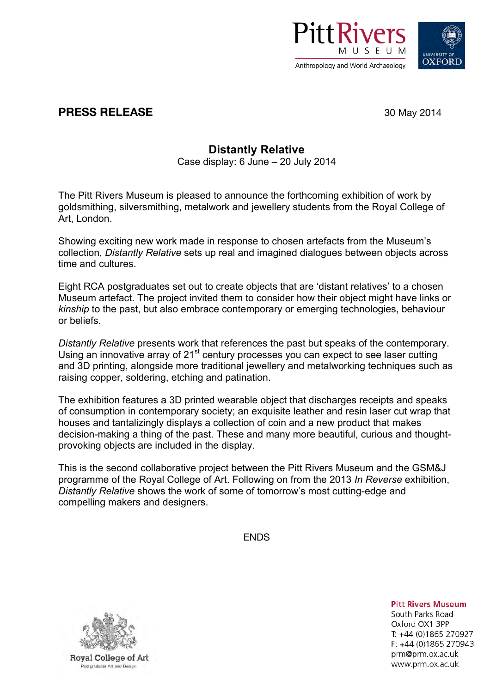



## **PRESS RELEASE** 30 May 2014

## **Distantly Relative**

Case display: 6 June – 20 July 2014

The Pitt Rivers Museum is pleased to announce the forthcoming exhibition of work by goldsmithing, silversmithing, metalwork and jewellery students from the Royal College of Art, London.

Showing exciting new work made in response to chosen artefacts from the Museum's collection, *Distantly Relative* sets up real and imagined dialogues between objects across time and cultures.

Eight RCA postgraduates set out to create objects that are 'distant relatives' to a chosen Museum artefact. The project invited them to consider how their object might have links or *kinship* to the past, but also embrace contemporary or emerging technologies, behaviour or beliefs.

*Distantly Relative* presents work that references the past but speaks of the contemporary. Using an innovative array of 21<sup>st</sup> century processes you can expect to see laser cutting and 3D printing, alongside more traditional jewellery and metalworking techniques such as raising copper, soldering, etching and patination.

The exhibition features a 3D printed wearable object that discharges receipts and speaks of consumption in contemporary society; an exquisite leather and resin laser cut wrap that houses and tantalizingly displays a collection of coin and a new product that makes decision-making a thing of the past. These and many more beautiful, curious and thoughtprovoking objects are included in the display.

This is the second collaborative project between the Pitt Rivers Museum and the GSM&J programme of the Royal College of Art. Following on from the 2013 *In Reverse* exhibition, *Distantly Relative* shows the work of some of tomorrow's most cutting-edge and compelling makers and designers.

**FNDS** 



**Pitt Rivers Museum** South Parks Road Oxford OX1 3PP T: +44 (0)1865 270927 F: +44 (0)1865 270943 prm@prm.ox.ac.uk www.prm.ox.ac.uk